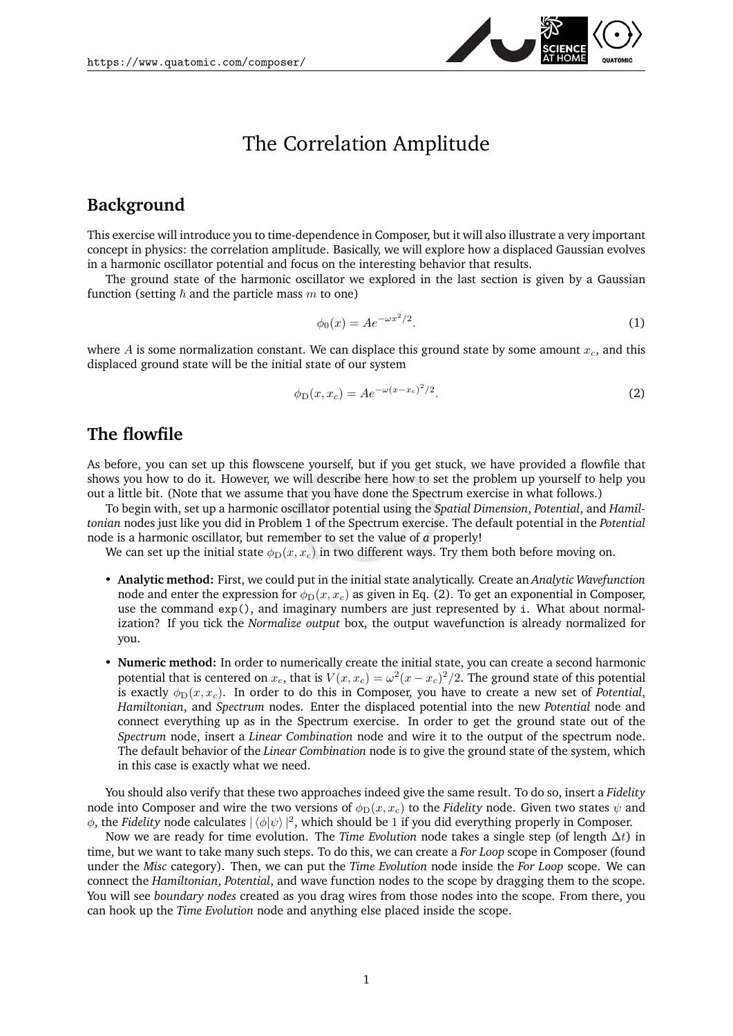

# The Correlation Amplitude

### **Background**

This exercise will introduce you to time-dependence in Composer, but it will also illustrate a very important concept in physics: the correlation amplitude. Basically, we will explore how a displaced Gaussian evolves in a harmonic oscillator potential and focus on the interesting behavior that results.

The ground state of the harmonic oscillator we explored in the last section is given by a Gaussian function (setting  $\hbar$  and the particle mass m to one)

$$
\phi_0(x) = Ae^{-\omega x^2/2}.\tag{1}
$$

where A is some normalization constant. We can displace this ground state by some amount  $x_c$ , and this displaced ground state will be the initial state of our system

<span id="page-0-0"></span>
$$
\phi_{\mathcal{D}}(x, x_c) = A e^{-\omega(x - x_c)^2/2}.
$$
 (2)

#### **The flowfile**

As before, you can set up this flowscene yourself, but if you get stuck, we have provided a flowfile that shows you how to do it. However, we will describe here how to set the problem up yourself to help you out a little bit. (Note that we assume that you have done the Spectrum exercise in what follows.)

To begin with, set up a harmonic oscillator potential using the *Spatial Dimension*, *Potential*, and *Hamiltonian* nodes just like you did in Problem 1 of the Spectrum exercise. The default potential in the *Potential* node is a harmonic oscillator, but remember to set the value of *a* properly!

We can set up the initial state  $\phi_D(x, x_c)$  in two different ways. Try them both before moving on.

- **Analytic method:** First, we could put in the initial state analytically. Create an *Analytic Wavefunction* node and enter the expression for  $\phi_D(x, x_c)$  as given in Eq. [\(2\)](#page-0-0). To get an exponential in Composer, use the command exp(), and imaginary numbers are just represented by i. What about normalization? If you tick the *Normalize output* box, the output wavefunction is already normalized for you.
- **Numeric method:** In order to numerically create the initial state, you can create a second harmonic potential that is centered on  $x_c$ , that is  $V(x,x_c)=\omega^2 (x-x_c)^2/2.$  The ground state of this potential is exactly  $\phi_D(x, x_c)$ . In order to do this in Composer, you have to create a new set of *Potential*, *Hamiltonian*, and *Spectrum* nodes. Enter the displaced potential into the new *Potential* node and connect everything up as in the Spectrum exercise. In order to get the ground state out of the *Spectrum* node, insert a *Linear Combination* node and wire it to the output of the spectrum node. The default behavior of the *Linear Combination* node is to give the ground state of the system, which in this case is exactly what we need.

You should also verify that these two approaches indeed give the same result. To do so, insert a *Fidelity* node into Composer and wire the two versions of  $\phi_D(x, x_c)$  to the *Fidelity* node. Given two states  $\psi$  and  $\phi$ , the *Fidelity* node calculates  $|\langle \phi | \psi \rangle|^2$ , which should be 1 if you did everything properly in Composer.

Now we are ready for time evolution. The *Time Evolution* node takes a single step (of length ∆t) in time, but we want to take many such steps. To do this, we can create a *For Loop* scope in Composer (found under the *Misc* category). Then, we can put the *Time Evolution* node inside the *For Loop* scope. We can connect the *Hamiltonian*, *Potential*, and wave function nodes to the scope by dragging them to the scope. You will see *boundary nodes* created as you drag wires from those nodes into the scope. From there, you can hook up the *Time Evolution* node and anything else placed inside the scope.